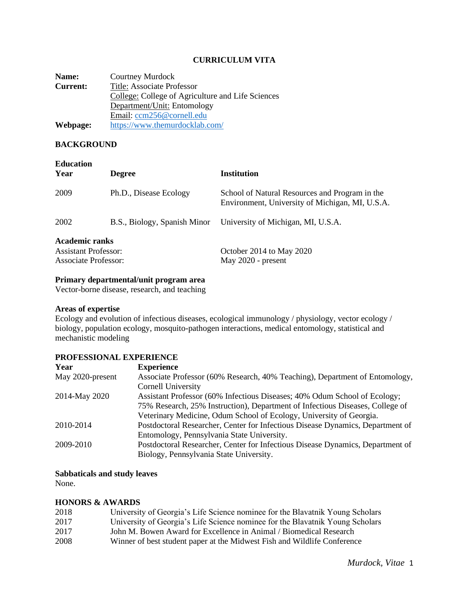#### **CURRICULUM VITA**

**Name:** Courtney Murdock<br> **Current:** Title: Associate Pro **Title: Associate Professor** College: College of Agriculture and Life Sciences Department/Unit: Entomology Email: [ccm256@cornell.edu](mailto:ccm256@cornell.edu) **Webpage:** <https://www.themurdocklab.com/>

#### **BACKGROUND**

| <b>Education</b><br>Year    | <b>Degree</b>                | <b>Institution</b>                                                                                |  |  |
|-----------------------------|------------------------------|---------------------------------------------------------------------------------------------------|--|--|
| 2009                        | Ph.D., Disease Ecology       | School of Natural Resources and Program in the<br>Environment, University of Michigan, MI, U.S.A. |  |  |
| 2002                        | B.S., Biology, Spanish Minor | University of Michigan, MI, U.S.A.                                                                |  |  |
| <b>Academic ranks</b>       |                              |                                                                                                   |  |  |
| <b>Assistant Professor:</b> |                              | October 2014 to May 2020                                                                          |  |  |
| <b>Associate Professor:</b> |                              | May 2020 - present                                                                                |  |  |

#### **Primary departmental/unit program area**

Vector-borne disease, research, and teaching

#### **Areas of expertise**

Ecology and evolution of infectious diseases, ecological immunology / physiology, vector ecology / biology, population ecology, mosquito-pathogen interactions, medical entomology, statistical and mechanistic modeling

#### **PROFESSIONAL EXPERIENCE**

| Year             | <b>Experience</b>                                                              |
|------------------|--------------------------------------------------------------------------------|
| May 2020-present | Associate Professor (60% Research, 40% Teaching), Department of Entomology,    |
|                  | <b>Cornell University</b>                                                      |
| 2014-May 2020    | Assistant Professor (60% Infectious Diseases; 40% Odum School of Ecology;      |
|                  | 75% Research, 25% Instruction), Department of Infectious Diseases, College of  |
|                  | Veterinary Medicine, Odum School of Ecology, University of Georgia.            |
| 2010-2014        | Postdoctoral Researcher, Center for Infectious Disease Dynamics, Department of |
|                  | Entomology, Pennsylvania State University.                                     |
| 2009-2010        | Postdoctoral Researcher, Center for Infectious Disease Dynamics, Department of |
|                  | Biology, Pennsylvania State University.                                        |

#### **Sabbaticals and study leaves**

None.

#### **HONORS & AWARDS**

| 2018 | University of Georgia's Life Science nominee for the Blavatnik Young Scholars |
|------|-------------------------------------------------------------------------------|
| 2017 | University of Georgia's Life Science nominee for the Blavatnik Young Scholars |
| 2017 | John M. Bowen Award for Excellence in Animal / Biomedical Research            |
| 2008 | Winner of best student paper at the Midwest Fish and Wildlife Conference      |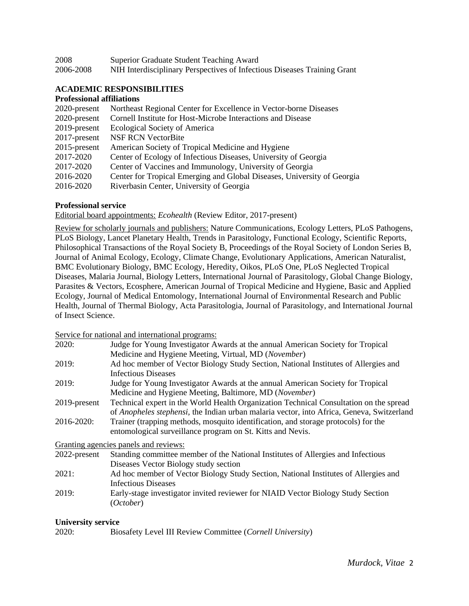| 2008      | Superior Graduate Student Teaching Award                                 |
|-----------|--------------------------------------------------------------------------|
| 2006-2008 | NIH Interdisciplinary Perspectives of Infectious Diseases Training Grant |

#### **ACADEMIC RESPONSIBILITIES**

#### **Professional affiliations**

| Northeast Regional Center for Excellence in Vector-borne Diseases       |
|-------------------------------------------------------------------------|
| Cornell Institute for Host-Microbe Interactions and Disease             |
| <b>Ecological Society of America</b>                                    |
| <b>NSF RCN VectorBite</b>                                               |
| American Society of Tropical Medicine and Hygiene                       |
| Center of Ecology of Infectious Diseases, University of Georgia         |
| Center of Vaccines and Immunology, University of Georgia                |
| Center for Tropical Emerging and Global Diseases, University of Georgia |
| Riverbasin Center, University of Georgia                                |
|                                                                         |

#### **Professional service**

Editorial board appointments: *Ecohealth* (Review Editor, 2017-present)

Review for scholarly journals and publishers: Nature Communications, Ecology Letters, PLoS Pathogens, PLoS Biology, Lancet Planetary Health, Trends in Parasitology, Functional Ecology, Scientific Reports, Philosophical Transactions of the Royal Society B, Proceedings of the Royal Society of London Series B, Journal of Animal Ecology, Ecology, Climate Change, Evolutionary Applications, American Naturalist, BMC Evolutionary Biology, BMC Ecology, Heredity, Oikos, PLoS One, PLoS Neglected Tropical Diseases, Malaria Journal, Biology Letters, International Journal of Parasitology, Global Change Biology, Parasites & Vectors, Ecosphere, American Journal of Tropical Medicine and Hygiene, Basic and Applied Ecology, Journal of Medical Entomology, International Journal of Environmental Research and Public Health, Journal of Thermal Biology, Acta Parasitologia, Journal of Parasitology, and International Journal of Insect Science.

Service for national and international programs:

|              | $\sim$ . The contractional and intermational programs.                                    |
|--------------|-------------------------------------------------------------------------------------------|
| 2020:        | Judge for Young Investigator Awards at the annual American Society for Tropical           |
|              | Medicine and Hygiene Meeting, Virtual, MD (November)                                      |
| 2019:        | Ad hoc member of Vector Biology Study Section, National Institutes of Allergies and       |
|              | <b>Infectious Diseases</b>                                                                |
| 2019:        | Judge for Young Investigator Awards at the annual American Society for Tropical           |
|              | Medicine and Hygiene Meeting, Baltimore, MD (November)                                    |
| 2019-present | Technical expert in the World Health Organization Technical Consultation on the spread    |
|              | of Anopheles stephensi, the Indian urban malaria vector, into Africa, Geneva, Switzerland |
| 2016-2020:   | Trainer (trapping methods, mosquito identification, and storage protocols) for the        |
|              | entomological surveillance program on St. Kitts and Nevis.                                |
|              | Granting agencies panels and reviews:                                                     |
| 2022-present | Standing committee member of the National Institutes of Allergies and Infectious          |
|              | Diseases Vector Biology study section                                                     |
| 2021:        | Ad hoc member of Vector Biology Study Section, National Institutes of Allergies and       |
|              | <b>Infectious Diseases</b>                                                                |
| 2019:        | Early-stage investigator invited reviewer for NIAID Vector Biology Study Section          |
|              | (October)                                                                                 |

#### **University service**

2020: Biosafety Level III Review Committee (*Cornell University*)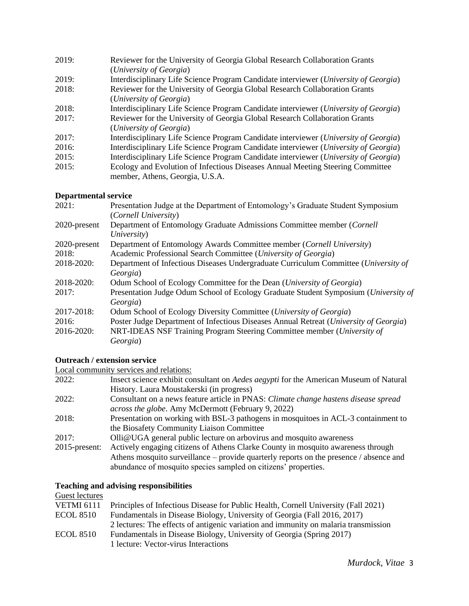| 2019: | Reviewer for the University of Georgia Global Research Collaboration Grants          |  |  |  |
|-------|--------------------------------------------------------------------------------------|--|--|--|
|       | (University of Georgia)                                                              |  |  |  |
| 2019: | Interdisciplinary Life Science Program Candidate interviewer (University of Georgia) |  |  |  |
| 2018: | Reviewer for the University of Georgia Global Research Collaboration Grants          |  |  |  |
|       | (University of Georgia)                                                              |  |  |  |
| 2018: | Interdisciplinary Life Science Program Candidate interviewer (University of Georgia) |  |  |  |
| 2017: | Reviewer for the University of Georgia Global Research Collaboration Grants          |  |  |  |
|       | (University of Georgia)                                                              |  |  |  |
| 2017: | Interdisciplinary Life Science Program Candidate interviewer (University of Georgia) |  |  |  |
| 2016: | Interdisciplinary Life Science Program Candidate interviewer (University of Georgia) |  |  |  |
| 2015: | Interdisciplinary Life Science Program Candidate interviewer (University of Georgia) |  |  |  |
| 2015: | Ecology and Evolution of Infectious Diseases Annual Meeting Steering Committee       |  |  |  |
|       | member, Athens, Georgia, U.S.A.                                                      |  |  |  |

#### **Departmental service**

| 2021:        | Presentation Judge at the Department of Entomology's Graduate Student Symposium                 |
|--------------|-------------------------------------------------------------------------------------------------|
|              | (Cornell University)                                                                            |
| 2020-present | Department of Entomology Graduate Admissions Committee member (Cornell<br>University)           |
| 2020-present | Department of Entomology Awards Committee member (Cornell University)                           |
| 2018:        | Academic Professional Search Committee (University of Georgia)                                  |
| 2018-2020:   | Department of Infectious Diseases Undergraduate Curriculum Committee (University of<br>Georgia) |
| 2018-2020:   | Odum School of Ecology Committee for the Dean (University of Georgia)                           |
| 2017:        | Presentation Judge Odum School of Ecology Graduate Student Symposium (University of<br>Georgia) |
| 2017-2018:   | Odum School of Ecology Diversity Committee (University of Georgia)                              |
| 2016:        | Poster Judge Department of Infectious Diseases Annual Retreat (University of Georgia)           |
| 2016-2020:   | NRT-IDEAS NSF Training Program Steering Committee member (University of                         |
|              | Georgia)                                                                                        |

# **Outreach / extension service**

Local community services and relations:

| 2022:            | Insect science exhibit consultant on <i>Aedes aegypti</i> for the American Museum of Natural |
|------------------|----------------------------------------------------------------------------------------------|
|                  | History. Laura Moustakerski (in progress)                                                    |
| 2022:            | Consultant on a news feature article in PNAS: Climate change hastens disease spread          |
|                  | <i>across the globe.</i> Amy McDermott (February 9, 2022)                                    |
| 2018:            | Presentation on working with BSL-3 pathogens in mosquitoes in ACL-3 containment to           |
|                  | the Biosafety Community Liaison Committee                                                    |
| 2017:            | Olli@UGA general public lecture on arbovirus and mosquito awareness                          |
| $2015$ -present: | Actively engaging citizens of Athens Clarke County in mosquito awareness through             |
|                  | Athens mosquito surveillance – provide quarterly reports on the presence / absence and       |
|                  | abundance of mosquito species sampled on citizens' properties.                               |

# **Teaching and advising responsibilities**

# Guest lectures

|                  | VETMI 6111 Principles of Infectious Disease for Public Health, Cornell University (Fall 2021) |
|------------------|-----------------------------------------------------------------------------------------------|
| <b>ECOL 8510</b> | Fundamentals in Disease Biology, University of Georgia (Fall 2016, 2017)                      |
|                  | 2 lectures: The effects of antigenic variation and immunity on malaria transmission           |
| <b>ECOL 8510</b> | Fundamentals in Disease Biology, University of Georgia (Spring 2017)                          |
|                  | 1 lecture: Vector-virus Interactions                                                          |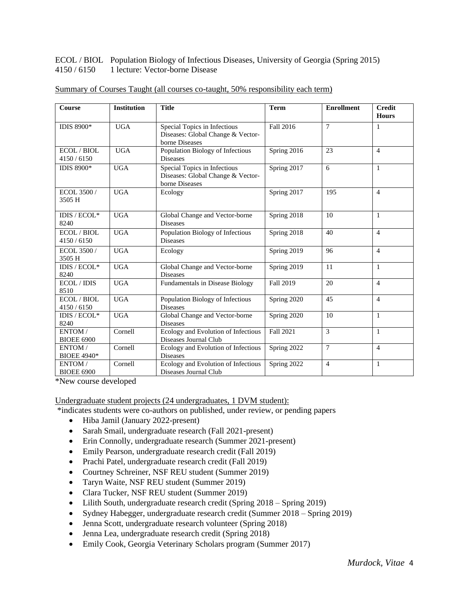ECOL / BIOL Population Biology of Infectious Diseases, University of Georgia (Spring 2015) 4150 / 6150 1 lecture: Vector-borne Disease

| Course                        | <b>Institution</b> | <b>Title</b>                                                                        | <b>Term</b> | <b>Enrollment</b> | <b>Credit</b><br><b>Hours</b> |
|-------------------------------|--------------------|-------------------------------------------------------------------------------------|-------------|-------------------|-------------------------------|
| <b>IDIS 8900*</b>             | <b>UGA</b>         | Special Topics in Infectious<br>Diseases: Global Change & Vector-<br>borne Diseases | Fall 2016   | $\tau$            | 1                             |
| ECOL / BIOL<br>4150/6150      | <b>UGA</b>         | Population Biology of Infectious<br><b>Diseases</b>                                 | Spring 2016 | 23                | $\overline{4}$                |
| <b>IDIS 8900*</b>             | <b>UGA</b>         | Special Topics in Infectious<br>Diseases: Global Change & Vector-<br>borne Diseases | Spring 2017 | 6                 | $\mathbf{1}$                  |
| ECOL 3500 /<br>3505 H         | <b>UGA</b>         | Ecology                                                                             | Spring 2017 | 195               | $\overline{4}$                |
| IDIS / ECOL*<br>8240          | <b>UGA</b>         | Global Change and Vector-borne<br><b>Diseases</b>                                   | Spring 2018 | 10                | $\mathbf{1}$                  |
| ECOL / BIOL<br>4150/6150      | <b>UGA</b>         | Population Biology of Infectious<br><b>Diseases</b>                                 | Spring 2018 | 40                | $\overline{4}$                |
| ECOL 3500 /<br>3505 H         | <b>UGA</b>         | Ecology                                                                             | Spring 2019 | 96                | $\overline{4}$                |
| IDIS / $ECOL*$<br>8240        | <b>UGA</b>         | Global Change and Vector-borne<br><b>Diseases</b>                                   | Spring 2019 | 11                | $\mathbf{1}$                  |
| ECOL/IDIS<br>8510             | <b>UGA</b>         | Fundamentals in Disease Biology                                                     | Fall 2019   | 20                | $\overline{4}$                |
| <b>ECOL/BIOL</b><br>4150/6150 | <b>UGA</b>         | Population Biology of Infectious<br><b>Diseases</b>                                 | Spring 2020 | 45                | $\overline{4}$                |
| IDIS / $ECOL*$<br>8240        | <b>UGA</b>         | Global Change and Vector-borne<br><b>Diseases</b>                                   | Spring 2020 | 10                | $\mathbf{1}$                  |
| ENTOM /<br><b>BIOEE 6900</b>  | Cornell            | Ecology and Evolution of Infectious<br>Diseases Journal Club                        | Fall 2021   | 3                 | $\mathbf{1}$                  |
| ENTOM/<br><b>BIOEE 4940*</b>  | Cornell            | Ecology and Evolution of Infectious<br><b>Diseases</b>                              | Spring 2022 | $\tau$            | $\overline{4}$                |
| ENTOM/<br><b>BIOEE 6900</b>   | Cornell            | Ecology and Evolution of Infectious<br>Diseases Journal Club                        | Spring 2022 | $\overline{4}$    | $\mathbf{1}$                  |

Summary of Courses Taught (all courses co-taught, 50% responsibility each term)

\*New course developed

Undergraduate student projects (24 undergraduates, 1 DVM student):

\*indicates students were co-authors on published, under review, or pending papers

- Hiba Jamil (January 2022-present)
- Sarah Smail, undergraduate research (Fall 2021-present)
- Erin Connolly, undergraduate research (Summer 2021-present)
- Emily Pearson, undergraduate research credit (Fall 2019)
- Prachi Patel, undergraduate research credit (Fall 2019)
- Courtney Schreiner, NSF REU student (Summer 2019)
- Taryn Waite, NSF REU student (Summer 2019)
- Clara Tucker, NSF REU student (Summer 2019)
- Lilith South, undergraduate research credit (Spring 2018 Spring 2019)
- Sydney Habegger, undergraduate research credit (Summer 2018 Spring 2019)
- Jenna Scott, undergraduate research volunteer (Spring 2018)
- Jenna Lea, undergraduate research credit (Spring 2018)
- Emily Cook, Georgia Veterinary Scholars program (Summer 2017)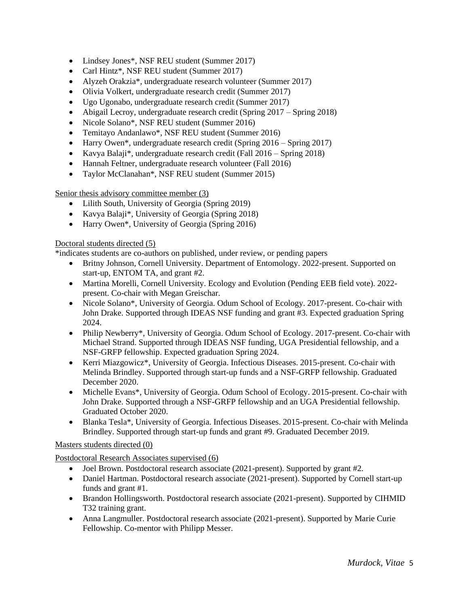- Lindsey Jones\*, NSF REU student (Summer 2017)
- Carl Hintz<sup>\*</sup>, NSF REU student (Summer 2017)
- Alyzeh Orakzia\*, undergraduate research volunteer (Summer 2017)
- Olivia Volkert, undergraduate research credit (Summer 2017)
- Ugo Ugonabo, undergraduate research credit (Summer 2017)
- Abigail Lecroy, undergraduate research credit (Spring 2017 Spring 2018)
- Nicole Solano<sup>\*</sup>, NSF REU student (Summer 2016)
- Temitayo Andanlawo\*, NSF REU student (Summer 2016)
- Harry Owen<sup>\*</sup>, undergraduate research credit (Spring 2016 Spring 2017)
- Kavya Balaji\*, undergraduate research credit (Fall 2016 Spring 2018)
- Hannah Feltner, undergraduate research volunteer (Fall 2016)
- Taylor McClanahan\*, NSF REU student (Summer 2015)

Senior thesis advisory committee member (3)

- Lilith South, University of Georgia (Spring 2019)
- Kavya Balaji\*, University of Georgia (Spring 2018)
- Harry Owen<sup>\*</sup>, University of Georgia (Spring 2016)

#### Doctoral students directed (5)

\*indicates students are co-authors on published, under review, or pending papers

- Britny Johnson, Cornell University. Department of Entomology. 2022-present. Supported on start-up, ENTOM TA, and grant #2.
- Martina Morelli, Cornell University. Ecology and Evolution (Pending EEB field vote). 2022present. Co-chair with Megan Greischar.
- Nicole Solano\*, University of Georgia. Odum School of Ecology. 2017-present. Co-chair with John Drake. Supported through IDEAS NSF funding and grant #3. Expected graduation Spring 2024.
- Philip Newberry\*, University of Georgia. Odum School of Ecology. 2017-present. Co-chair with Michael Strand. Supported through IDEAS NSF funding, UGA Presidential fellowship, and a NSF-GRFP fellowship. Expected graduation Spring 2024.
- Kerri Miazgowicz\*, University of Georgia. Infectious Diseases. 2015-present. Co-chair with Melinda Brindley. Supported through start-up funds and a NSF-GRFP fellowship. Graduated December 2020.
- Michelle Evans\*, University of Georgia. Odum School of Ecology. 2015-present. Co-chair with John Drake. Supported through a NSF-GRFP fellowship and an UGA Presidential fellowship. Graduated October 2020.
- Blanka Tesla<sup>\*</sup>, University of Georgia. Infectious Diseases. 2015-present. Co-chair with Melinda Brindley. Supported through start-up funds and grant #9. Graduated December 2019.

## Masters students directed (0)

Postdoctoral Research Associates supervised (6)

- Joel Brown. Postdoctoral research associate (2021-present). Supported by grant #2.
- Daniel Hartman. Postdoctoral research associate (2021-present). Supported by Cornell start-up funds and grant #1.
- Brandon Hollingsworth. Postdoctoral research associate (2021-present). Supported by CIHMID T32 training grant.
- Anna Langmuller. Postdoctoral research associate (2021-present). Supported by Marie Curie Fellowship. Co-mentor with Philipp Messer.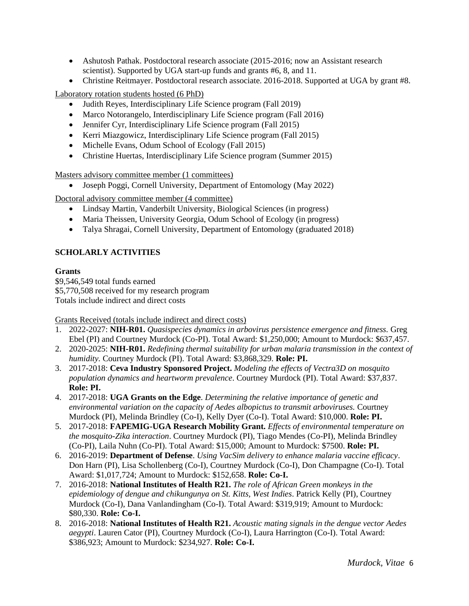- Ashutosh Pathak. Postdoctoral research associate (2015-2016; now an Assistant research scientist). Supported by UGA start-up funds and grants #6, 8, and 11.
- Christine Reitmayer. Postdoctoral research associate. 2016-2018. Supported at UGA by grant #8.

Laboratory rotation students hosted (6 PhD)

- Judith Reyes, Interdisciplinary Life Science program (Fall 2019)
- Marco Notorangelo, Interdisciplinary Life Science program (Fall 2016)
- Jennifer Cyr, Interdisciplinary Life Science program (Fall 2015)
- Kerri Miazgowicz, Interdisciplinary Life Science program (Fall 2015)
- Michelle Evans, Odum School of Ecology (Fall 2015)
- Christine Huertas, Interdisciplinary Life Science program (Summer 2015)

Masters advisory committee member (1 committees)

• Joseph Poggi, Cornell University, Department of Entomology (May 2022)

Doctoral advisory committee member (4 committee)

- Lindsay Martin, Vanderbilt University, Biological Sciences (in progress)
- Maria Theissen, University Georgia, Odum School of Ecology (in progress)
- Talya Shragai, Cornell University, Department of Entomology (graduated 2018)

### **SCHOLARLY ACTIVITIES**

#### **Grants**

\$9,546,549 total funds earned \$5,770,508 received for my research program Totals include indirect and direct costs

Grants Received (totals include indirect and direct costs)

- 1. 2022-2027: **NIH-R01.** *Quasispecies dynamics in arbovirus persistence emergence and fitness.* Greg Ebel (PI) and Courtney Murdock (Co-PI). Total Award: \$1,250,000; Amount to Murdock: \$637,457.
- 2. 2020-2025: **NIH-R01.** *Redefining thermal suitability for urban malaria transmission in the context of humidity.* Courtney Murdock (PI). Total Award: \$3,868,329. **Role: PI.**
- 3. 2017-2018: **Ceva Industry Sponsored Project.** *Modeling the effects of Vectra3D on mosquito population dynamics and heartworm prevalence*. Courtney Murdock (PI). Total Award: \$37,837. **Role: PI.**
- 4. 2017-2018: **UGA Grants on the Edge**. *Determining the relative importance of genetic and environmental variation on the capacity of Aedes albopictus to transmit arboviruses.* Courtney Murdock (PI), Melinda Brindley (Co-I), Kelly Dyer (Co-I). Total Award: \$10,000. **Role: PI.**
- 5. 2017-2018: **FAPEMIG-UGA Research Mobility Grant.** *Effects of environmental temperature on the mosquito-Zika interaction*. Courtney Murdock (PI), Tiago Mendes (Co-PI), Melinda Brindley (Co-PI), Laila Nuhn (Co-PI). Total Award: \$15,000; Amount to Murdock: \$7500. **Role: PI.**
- 6. 2016-2019: **Department of Defense**. *Using VacSim delivery to enhance malaria vaccine efficacy*. Don Harn (PI), Lisa Schollenberg (Co-I), Courtney Murdock (Co-I), Don Champagne (Co-I). Total Award: \$1,017,724; Amount to Murdock: \$152,658. **Role: Co-I.**
- 7. 2016-2018: **National Institutes of Health R21.** *The role of African Green monkeys in the epidemiology of dengue and chikungunya on St. Kitts, West Indies*. Patrick Kelly (PI), Courtney Murdock (Co-I), Dana Vanlandingham (Co-I). Total Award: \$319,919; Amount to Murdock: \$80,330. **Role: Co-I.**
- 8. 2016-2018: **National Institutes of Health R21.** *Acoustic mating signals in the dengue vector Aedes aegypti*. Lauren Cator (PI), Courtney Murdock (Co-I), Laura Harrington (Co-I). Total Award: \$386,923; Amount to Murdock: \$234,927. **Role: Co-I.**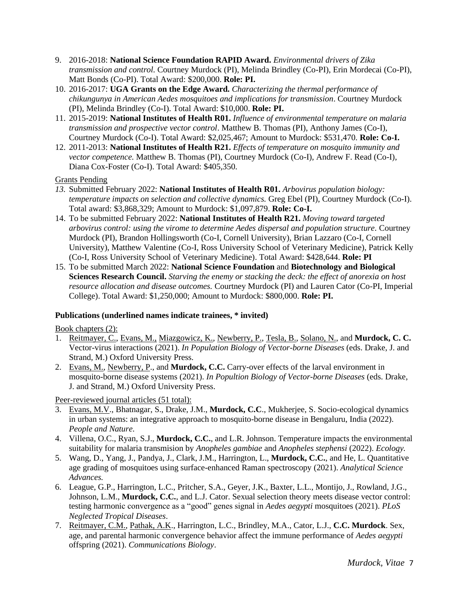- 9. 2016-2018: **National Science Foundation RAPID Award.** *Environmental drivers of Zika transmission and control.* Courtney Murdock (PI), Melinda Brindley (Co-PI), Erin Mordecai (Co-PI), Matt Bonds (Co-PI). Total Award: \$200,000. **Role: PI.**
- 10. 2016-2017: **UGA Grants on the Edge Award.** *Characterizing the thermal performance of chikungunya in American Aedes mosquitoes and implications for transmission*. Courtney Murdock (PI), Melinda Brindley (Co-I). Total Award: \$10,000. **Role: PI.**
- 11. 2015-2019: **National Institutes of Health R01.** *Influence of environmental temperature on malaria transmission and prospective vector control*. Matthew B. Thomas (PI), Anthony James (Co-I), Courtney Murdock (Co-I). Total Award: \$2,025,467; Amount to Murdock: \$531,470. **Role: Co-I.**
- 12. 2011-2013: **National Institutes of Health R21.** *Effects of temperature on mosquito immunity and vector competence.* Matthew B. Thomas (PI), Courtney Murdock (Co-I), Andrew F. Read (Co-I), Diana Cox-Foster (Co-I). Total Award: \$405,350.

#### Grants Pending

- *13.* Submitted February 2022: **National Institutes of Health R01.** *Arbovirus population biology: temperature impacts on selection and collective dynamics.* Greg Ebel (PI), Courtney Murdock (Co-I). Total award: \$3,868,329; Amount to Murdock: \$1,097,879. **Role: Co-I.**
- 14. To be submitted February 2022: **National Institutes of Health R21.** *Moving toward targeted arbovirus control: using the virome to determine Aedes dispersal and population structure.* Courtney Murdock (PI), Brandon Hollingsworth (Co-I, Cornell University), Brian Lazzaro (Co-I, Cornell University), Matthew Valentine (Co-I, Ross University School of Veterinary Medicine), Patrick Kelly (Co-I, Ross University School of Veterinary Medicine). Total Award: \$428,644. **Role: PI**
- 15. To be submitted March 2022: **National Science Foundation** and **Biotechnology and Biological Sciences Research Council.** *Starving the enemy or stacking the deck: the effect of anorexia on host resource allocation and disease outcomes.* Courtney Murdock (PI) and Lauren Cator (Co-PI, Imperial College). Total Award: \$1,250,000; Amount to Murdock: \$800,000. **Role: PI.**

#### **Publications (underlined names indicate trainees, \* invited)**

Book chapters (2):

- 1. Reitmayer, C., Evans, M., Miazgowicz, K., Newberry, P., Tesla, B., Solano, N., and **Murdock, C. C.**  Vector-virus interactions (2021). *In Population Biology of Vector-borne Diseases* (eds. Drake, J. and Strand, M.) Oxford University Press.
- 2. Evans, M., Newberry, P., and **Murdock, C.C.** Carry-over effects of the larval environment in mosquito-borne disease systems (2021). *In Popultion Biology of Vector-borne Diseases* (eds. Drake, J. and Strand, M.) Oxford University Press.

Peer-reviewed journal articles (51 total):

- 3. Evans, M.V., Bhatnagar, S., Drake, J.M., **Murdock, C.C**., Mukherjee, S. Socio-ecological dynamics in urban systems: an integrative approach to mosquito-borne disease in Bengaluru, India (2022). *People and Nature*.
- 4. Villena, O.C., Ryan, S.J., **Murdock, C.C.**, and L.R. Johnson. Temperature impacts the environmental suitability for malaria transmision by *Anopheles gambiae* and *Anopheles stephensi* (2022). *Ecology.*
- 5. Wang, D., Yang, J., Pandya, J., Clark, J.M., Harrington, L., **Murdock, C.C.**, and He, L. Quantitative age grading of mosquitoes using surface-enhanced Raman spectroscopy (2021). *Analytical Science Advances.*
- 6. League, G.P., Harrington, L.C., Pritcher, S.A., Geyer, J.K., Baxter, L.L., Montijo, J., Rowland, J.G., Johnson, L.M., **Murdock, C.C.**, and L.J. Cator. Sexual selection theory meets disease vector control: testing harmonic convergence as a "good" genes signal in *Aedes aegypti* mosquitoes (2021). *PLoS Neglected Tropical Diseases*.
- 7. Reitmayer, C.M., Pathak, A.K., Harrington, L.C., Brindley, M.A., Cator, L.J., **C.C. Murdock**. Sex, age, and parental harmonic convergence behavior affect the immune performance of *Aedes aegypti* offspring (2021). *Communications Biology*.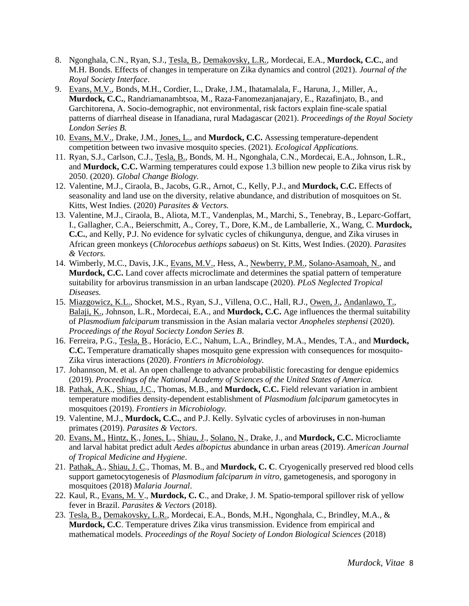- 8. Ngonghala, C.N., Ryan, S.J., Tesla, B., Demakovsky, L.R., Mordecai, E.A., **Murdock, C.C.**, and M.H. Bonds. Effects of changes in temperature on Zika dynamics and control (2021). *Journal of the Royal Society Interface*.
- 9. Evans, M.V., Bonds, M.H., Cordier, L., Drake, J.M., Ihatamalala, F., Haruna, J., Miller, A., **Murdock, C.C.**, Randriamanambtsoa, M., Raza-Fanomezanjanajary, E., Razafinjato, B., and Garchitorena, A. Socio-demographic, not environmental, risk factors explain fine-scale spatial patterns of diarrheal disease in Ifanadiana, rural Madagascar (2021). *Proceedings of the Royal Society London Series B.*
- 10. Evans, M.V., Drake, J.M., Jones, L., and **Murdock, C.C.** Assessing temperature-dependent competition between two invasive mosquito species. (2021). *Ecological Applications.*
- 11. Ryan, S.J., Carlson, C.J., Tesla, B., Bonds, M. H., Ngonghala, C.N., Mordecai, E.A., Johnson, L.R., and **Murdock, C.C.** Warming temperatures could expose 1.3 billion new people to Zika virus risk by 2050. (2020). *Global Change Biology.*
- 12. Valentine, M.J., Ciraola, B., Jacobs, G.R., Arnot, C., Kelly, P.J., and **Murdock, C.C.** Effects of seasonality and land use on the diversity, relative abundance, and distribution of mosquitoes on St. Kitts, West Indies. (2020) *Parasites & Vectors.*
- 13. Valentine, M.J., Ciraola, B., Aliota, M.T., Vandenplas, M., Marchi, S., Tenebray, B., Leparc-Goffart, I., Gallagher, C.A., Beierschmitt, A., Corey, T., Dore, K.M., de Lamballerie, X., Wang, C. **Murdock, C.C.**, and Kelly, P.J. No evidence for sylvatic cycles of chikungunya, dengue, and Zika viruses in African green monkeys (*Chlorocebus aethiops sabaeus*) on St. Kitts, West Indies. (2020). *Parasites & Vectors.*
- 14. Wimberly, M.C., Davis, J.K., Evans, M.V., Hess, A., Newberry, P.M., Solano-Asamoah, N., and **Murdock, C.C.** Land cover affects microclimate and determines the spatial pattern of temperature suitability for arbovirus transmission in an urban landscape (2020). *PLoS Neglected Tropical Diseases.*
- 15. Miazgowicz*,* K.L., Shocket, M.S., Ryan, S.J., Villena, O.C., Hall, R.J., Owen, J., Andanlawo, T., Balaji, K., Johnson, L.R., Mordecai, E.A., and **Murdock, C.C.** Age influences the thermal suitability of *Plasmodium falciparum* transmission in the Asian malaria vector *Anopheles stephensi* (2020). *Proceedings of the Royal Sociecty London Series B*.
- 16. Ferreira, P.G., Tesla, B., Horácio, E.C., Nahum, L.A., Brindley, M.A., Mendes, T.A., and **Murdock, C.C.** Temperature dramatically shapes mosquito gene expression with consequences for mosquito-Zika virus interactions (2020). *Frontiers in Microbiology.*
- 17. Johannson, M. et al. An open challenge to advance probabilistic forecasting for dengue epidemics (2019). *Proceedings of the National Academy of Sciences of the United States of America.*
- 18. Pathak, A.K., Shiau, J.C., Thomas, M.B., and **Murdock, C.C.** Field relevant variation in ambient temperature modifies density-dependent establishment of *Plasmodium falciparum* gametocytes in mosquitoes (2019). *Frontiers in Microbiology.*
- 19. Valentine, M.J., **Murdock, C.C.**, and P.J. Kelly. Sylvatic cycles of arboviruses in non-human primates (2019). *Parasites & Vectors*.
- 20. Evans, M., Hintz, K., Jones, L., Shiau, J., Solano, N., Drake, J., and **Murdock, C.C.** Microcliamte and larval habitat predict adult *Aedes albopictus* abundance in urban areas (2019). *American Journal of Tropical Medicine and Hygiene*.
- 21. Pathak, A., Shiau, J. C., Thomas, M. B., and **Murdock, C. C**. Cryogenically preserved red blood cells support gametocytogenesis of *Plasmodium falciparum in vitro,* gametogenesis, and sporogony in mosquitoes (2018) *Malaria Journal*.
- 22. Kaul, R., Evans, M. V., **Murdock, C. C**., and Drake, J. M. Spatio-temporal spillover risk of yellow fever in Brazil. *Parasites & Vectors* (2018).
- 23. Tesla, B., Demakovsky, L.R., Mordecai, E.A., Bonds, M.H., Ngonghala, C., Brindley, M.A., & **Murdock, C.C**. Temperature drives Zika virus transmission. Evidence from empirical and mathematical models. *Proceedings of the Royal Society of London Biological Sciences* (2018)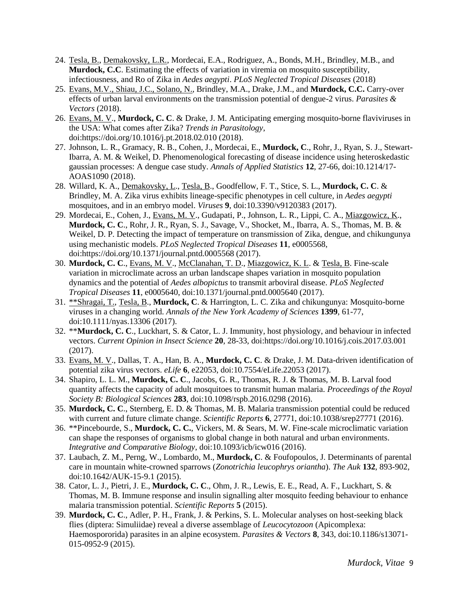- 24. Tesla, B., Demakovsky, L.R., Mordecai, E.A., Rodriguez, A., Bonds, M.H., Brindley, M.B., and **Murdock, C.C**. Estimating the effects of variation in viremia on mosquito susceptibility, infectiousness, and Ro of Zika in *Aedes aegypti*. *PLoS Neglected Tropical Diseases* (2018)
- 25. Evans, M.V., Shiau, J.C., Solano, N., Brindley, M.A., Drake, J.M., and **Murdock, C.C.** Carry-over effects of urban larval environments on the transmission potential of dengue-2 virus. *Parasites & Vectors* (2018).
- 26. Evans, M. V., **Murdock, C. C**. & Drake, J. M. Anticipating emerging mosquito-borne flaviviruses in the USA: What comes after Zika? *Trends in Parasitology*, doi:https://doi.org/10.1016/j.pt.2018.02.010 (2018).
- 27. Johnson, L. R., Gramacy, R. B., Cohen, J., Mordecai, E., **Murdock, C**., Rohr, J., Ryan, S. J., Stewart-Ibarra, A. M. & Weikel, D. Phenomenological forecasting of disease incidence using heteroskedastic gaussian processes: A dengue case study. *Annals of Applied Statistics* **12**, 27-66, doi:10.1214/17- AOAS1090 (2018).
- 28. Willard, K. A., Demakovsky, L., Tesla, B., Goodfellow, F. T., Stice, S. L., **Murdock, C. C**. & Brindley, M. A. Zika virus exhibits lineage-specific phenotypes in cell culture, in *Aedes aegypti*  mosquitoes, and in an embryo model. *Viruses* **9**, doi:10.3390/v9120383 (2017).
- 29. Mordecai, E., Cohen, J., Evans, M. V., Gudapati, P., Johnson, L. R., Lippi, C. A., Miazgowicz, K., **Murdock, C. C**., Rohr, J. R., Ryan, S. J., Savage, V., Shocket, M., Ibarra, A. S., Thomas, M. B. & Weikel, D. P. Detecting the impact of temperature on transmission of Zika, dengue, and chikungunya using mechanistic models. *PLoS Neglected Tropical Diseases* **11**, e0005568, doi:https://doi.org/10.1371/journal.pntd.0005568 (2017).
- 30. **Murdock, C. C**., Evans, M. V., McClanahan, T. D., Miazgowicz, K. L. & Tesla, B. Fine-scale variation in microclimate across an urban landscape shapes variation in mosquito population dynamics and the potential of *Aedes albopictus* to transmit arboviral disease. *PLoS Neglected Tropical Diseases* **11**, e0005640, doi:10.1371/journal.pntd.0005640 (2017).
- 31. \*\*Shragai, T., Tesla, B., **Murdock, C**. & Harrington, L. C. Zika and chikungunya: Mosquito-borne viruses in a changing world. *Annals of the New York Academy of Sciences* **1399**, 61-77, doi:10.1111/nyas.13306 (2017).
- 32. \*\***Murdock, C. C**., Luckhart, S. & Cator, L. J. Immunity, host physiology, and behaviour in infected vectors. *Current Opinion in Insect Science* **20**, 28-33, doi:https://doi.org/10.1016/j.cois.2017.03.001 (2017).
- 33. Evans, M. V., Dallas, T. A., Han, B. A., **Murdock, C. C**. & Drake, J. M. Data-driven identification of potential zika virus vectors. *eLife* **6**, e22053, doi:10.7554/eLife.22053 (2017).
- 34. Shapiro, L. L. M., **Murdock, C. C**., Jacobs, G. R., Thomas, R. J. & Thomas, M. B. Larval food quantity affects the capacity of adult mosquitoes to transmit human malaria. *Proceedings of the Royal Society B: Biological Sciences* **283**, doi:10.1098/rspb.2016.0298 (2016).
- 35. **Murdock, C. C**., Sternberg, E. D. & Thomas, M. B. Malaria transmission potential could be reduced with current and future climate change. *Scientific Reports* **6**, 27771, doi:10.1038/srep27771 (2016).
- 36. \*\*Pincebourde, S., **Murdock, C. C.**, Vickers, M. & Sears, M. W. Fine-scale microclimatic variation can shape the responses of organisms to global change in both natural and urban environments. *Integrative and Comparative Biology*, doi:10.1093/icb/icw016 (2016).
- 37. Laubach, Z. M., Perng, W., Lombardo, M., **Murdock, C**. & Foufopoulos, J. Determinants of parental care in mountain white-crowned sparrows (*Zonotrichia leucophrys oriantha*). *The Auk* **132**, 893-902, doi:10.1642/AUK-15-9.1 (2015).
- 38. Cator, L. J., Pietri, J. E., **Murdock, C. C**., Ohm, J. R., Lewis, E. E., Read, A. F., Luckhart, S. & Thomas, M. B. Immune response and insulin signalling alter mosquito feeding behaviour to enhance malaria transmission potential. *Scientific Reports* **5** (2015).
- 39. **Murdock, C. C**., Adler, P. H., Frank, J. & Perkins, S. L. Molecular analyses on host-seeking black flies (diptera: Simuliidae) reveal a diverse assemblage of *Leucocytozoon* (Apicomplexa: Haemospororida) parasites in an alpine ecosystem. *Parasites & Vectors* **8**, 343, doi:10.1186/s13071- 015-0952-9 (2015).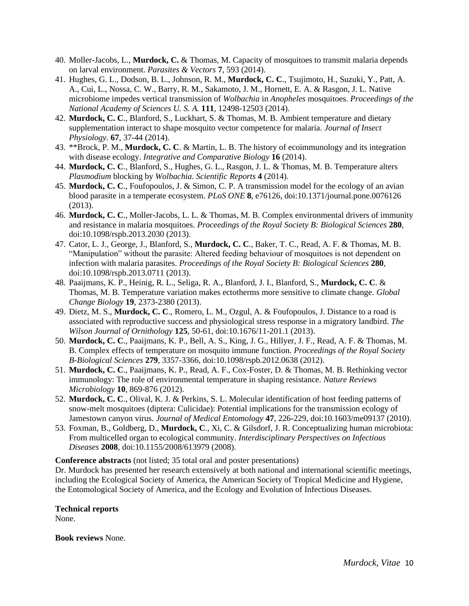- 40. Moller-Jacobs, L., **Murdock, C.** & Thomas, M. Capacity of mosquitoes to transmit malaria depends on larval environment. *Parasites & Vectors* **7**, 593 (2014).
- 41. Hughes, G. L., Dodson, B. L., Johnson, R. M., **Murdock, C. C**., Tsujimoto, H., Suzuki, Y., Patt, A. A., Cui, L., Nossa, C. W., Barry, R. M., Sakamoto, J. M., Hornett, E. A. & Rasgon, J. L. Native microbiome impedes vertical transmission of *Wolbachia* in *Anopheles* mosquitoes. *Proceedings of the National Academy of Sciences U. S. A.* **111**, 12498-12503 (2014).
- 42. **Murdock, C. C**., Blanford, S., Luckhart, S. & Thomas, M. B. Ambient temperature and dietary supplementation interact to shape mosquito vector competence for malaria. *Journal of Insect Physiology.* **67**, 37-44 (2014).
- 43. \*\*Brock, P. M., **Murdock, C. C**. & Martin, L. B. The history of ecoimmunology and its integration with disease ecology. *Integrative and Comparative Biology* **16** (2014).
- 44. **Murdock, C. C**., Blanford, S., Hughes, G. L., Rasgon, J. L. & Thomas, M. B. Temperature alters *Plasmodium* blocking by *Wolbachia*. *Scientific Reports* **4** (2014).
- 45. **Murdock, C. C**., Foufopoulos, J. & Simon, C. P. A transmission model for the ecology of an avian blood parasite in a temperate ecosystem. *PLoS ONE* **8**, e76126, doi:10.1371/journal.pone.0076126 (2013).
- 46. **Murdock, C. C**., Moller-Jacobs, L. L. & Thomas, M. B. Complex environmental drivers of immunity and resistance in malaria mosquitoes. *Proceedings of the Royal Society B: Biological Sciences* **280**, doi:10.1098/rspb.2013.2030 (2013).
- 47. Cator, L. J., George, J., Blanford, S., **Murdock, C. C**., Baker, T. C., Read, A. F. & Thomas, M. B. "Manipulation" without the parasite: Altered feeding behaviour of mosquitoes is not dependent on infection with malaria parasites. *Proceedings of the Royal Society B: Biological Sciences* **280**, doi:10.1098/rspb.2013.0711 (2013).
- 48. Paaijmans, K. P., Heinig, R. L., Seliga, R. A., Blanford, J. I., Blanford, S., **Murdock, C. C**. & Thomas, M. B. Temperature variation makes ectotherms more sensitive to climate change. *Global Change Biology* **19**, 2373-2380 (2013).
- 49. Dietz, M. S., **Murdock, C. C**., Romero, L. M., Ozgul, A. & Foufopoulos, J. Distance to a road is associated with reproductive success and physiological stress response in a migratory landbird. *The Wilson Journal of Ornithology* **125**, 50-61, doi:10.1676/11-201.1 (2013).
- 50. **Murdock, C. C**., Paaijmans, K. P., Bell, A. S., King, J. G., Hillyer, J. F., Read, A. F. & Thomas, M. B. Complex effects of temperature on mosquito immune function. *Proceedings of the Royal Society B-Biological Sciences* **279**, 3357-3366, doi:10.1098/rspb.2012.0638 (2012).
- 51. **Murdock, C. C**., Paaijmans, K. P., Read, A. F., Cox-Foster, D. & Thomas, M. B. Rethinking vector immunology: The role of environmental temperature in shaping resistance. *Nature Reviews Microbiology* **10**, 869-876 (2012).
- 52. **Murdock, C. C**., Olival, K. J. & Perkins, S. L. Molecular identification of host feeding patterns of snow-melt mosquitoes (diptera: Culicidae): Potential implications for the transmission ecology of Jamestown canyon virus. *Journal of Medical Entomology* **47**, 226-229, doi:10.1603/me09137 (2010).
- 53. Foxman, B., Goldberg, D., **Murdock, C**., Xi, C. & Gilsdorf, J. R. Conceptualizing human microbiota: From multicelled organ to ecological community. *Interdisciplinary Perspectives on Infectious Diseases* **2008**, doi:10.1155/2008/613979 (2008).

**Conference abstracts** (not listed; 35 total oral and poster presentations)

Dr. Murdock has presented her research extensively at both national and international scientific meetings, including the Ecological Society of America, the American Society of Tropical Medicine and Hygiene, the Entomological Society of America, and the Ecology and Evolution of Infectious Diseases.

# **Technical reports**

None.

**Book reviews** None.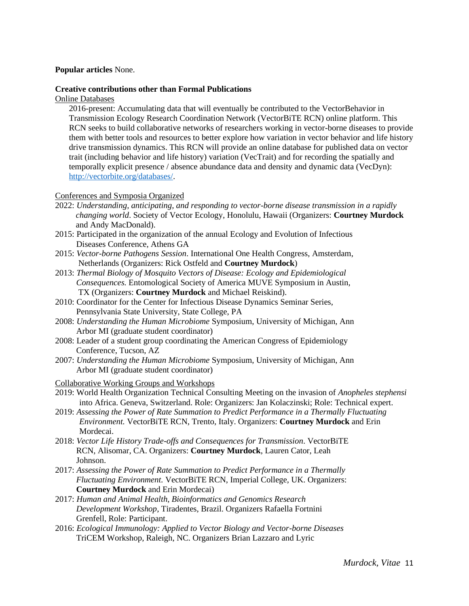#### **Popular articles** None.

#### **Creative contributions other than Formal Publications**

#### Online Databases

2016-present: Accumulating data that will eventually be contributed to the VectorBehavior in Transmission Ecology Research Coordination Network (VectorBiTE RCN) online platform. This RCN seeks to build collaborative networks of researchers working in vector-borne diseases to provide them with better tools and resources to better explore how variation in vector behavior and life history drive transmission dynamics. This RCN will provide an online database for published data on vector trait (including behavior and life history) variation (VecTrait) and for recording the spatially and temporally explicit presence / absence abundance data and density and dynamic data (VecDyn): [http://vectorbite.org/databases/.](http://vectorbite.org/databases/)

#### Conferences and Symposia Organized

- 2022: *Understanding, anticipating, and responding to vector-borne disease transmission in a rapidly changing world*. Society of Vector Ecology, Honolulu, Hawaii (Organizers: **Courtney Murdock** and Andy MacDonald).
- 2015: Participated in the organization of the annual Ecology and Evolution of Infectious Diseases Conference, Athens GA
- 2015: *Vector-borne Pathogens Session*. International One Health Congress, Amsterdam, Netherlands (Organizers: Rick Ostfeld and **Courtney Murdock**)
- 2013: *Thermal Biology of Mosquito Vectors of Disease: Ecology and Epidemiological Consequences.* Entomological Society of America MUVE Symposium in Austin, TX (Organizers: **Courtney Murdock** and Michael Reiskind).
- 2010: Coordinator for the Center for Infectious Disease Dynamics Seminar Series, Pennsylvania State University, State College, PA
- 2008: *Understanding the Human Microbiome* Symposium, University of Michigan, Ann Arbor MI (graduate student coordinator)
- 2008: Leader of a student group coordinating the American Congress of Epidemiology Conference, Tucson, AZ
- 2007: *Understanding the Human Microbiome* Symposium, University of Michigan, Ann Arbor MI (graduate student coordinator)
- Collaborative Working Groups and Workshops
- 2019: World Health Organization Technical Consulting Meeting on the invasion of *Anopheles stephensi*  into Africa. Geneva, Switzerland. Role: Organizers: Jan Kolaczinski; Role: Technical expert.
- 2019: *Assessing the Power of Rate Summation to Predict Performance in a Thermally Fluctuating Environment.* VectorBiTE RCN, Trento, Italy. Organizers: **Courtney Murdock** and Erin Mordecai.
- 2018: *Vector Life History Trade-offs and Consequences for Transmission*. VectorBiTE RCN, Alisomar, CA. Organizers: **Courtney Murdock**, Lauren Cator, Leah Johnson.
- 2017: *Assessing the Power of Rate Summation to Predict Performance in a Thermally Fluctuating Environment.* VectorBiTE RCN, Imperial College, UK. Organizers: **Courtney Murdock** and Erin Mordecai)
- 2017: *Human and Animal Health, Bioinformatics and Genomics Research Development Workshop*, Tiradentes, Brazil. Organizers Rafaella Fortnini Grenfell, Role: Participant.
- 2016: *Ecological Immunology: Applied to Vector Biology and Vector-borne Diseases* TriCEM Workshop, Raleigh, NC. Organizers Brian Lazzaro and Lyric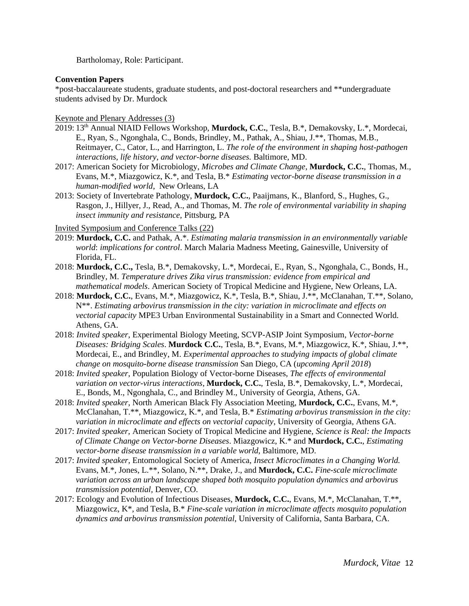Bartholomay, Role: Participant.

#### **Convention Papers**

\*post-baccalaureate students, graduate students, and post-doctoral researchers and \*\*undergraduate students advised by Dr. Murdock

Keynote and Plenary Addresses (3)

- 2019: 13th Annual NIAID Fellows Workshop, **Murdock, C.C.**, Tesla, B.\*, Demakovsky, L.\*, Mordecai, E., Ryan, S., Ngonghala, C., Bonds, Brindley, M., Pathak, A., Shiau, J.\*\*, Thomas, M.B., Reitmayer, C., Cator, L., and Harrington, L. *The role of the environment in shaping host-pathogen interactions, life history, and vector-borne diseases.* Baltimore, MD.
- 2017: American Society for Microbiology, *Microbes and Climate Change*, **Murdock, C.C.**, Thomas, M., Evans, M.\*, Miazgowicz, K.\*, and Tesla, B.\* *Estimating vector-borne disease transmission in a human-modified world*, New Orleans, LA
- 2013: Society of Invertebrate Pathology, **Murdock, C.C.**, Paaijmans, K., Blanford, S., Hughes, G., Rasgon, J., Hillyer, J., Read, A., and Thomas, M. *The role of environmental variability in shaping insect immunity and resistance,* Pittsburg, PA

Invited Symposium and Conference Talks (22)

- 2019: **Murdock, C.C.** and Pathak, A.\*. *Estimating malaria transmission in an environmentally variable world*: *implications for control*. March Malaria Madness Meeting, Gainesville, University of Florida, FL.
- 2018: **Murdock, C.C.,** Tesla, B.\*, Demakovsky, L.\*, Mordecai, E., Ryan, S., Ngonghala, C., Bonds, H., Brindley, M. *Temperature drives Zika virus transmission: evidence from empirical and mathematical models*. American Society of Tropical Medicine and Hygiene, New Orleans, LA.
- 2018: **Murdock, C.C.**, Evans, M.\*, Miazgowicz, K.\*, Tesla, B.\*, Shiau, J.\*\*, McClanahan, T.\*\*, Solano, N\*\*. *Estimating arbovirus transmission in the city: variation in microclimate and effects on vectorial capacity* MPE3 Urban Environmental Sustainability in a Smart and Connected World. Athens, GA.
- 2018: *Invited speaker*, Experimental Biology Meeting, SCVP-ASIP Joint Symposium, *Vector-borne Diseases: Bridging Scales*. **Murdock C.C.**, Tesla, B.\*, Evans, M.\*, Miazgowicz, K.\*, Shiau, J.\*\*, Mordecai, E., and Brindley, M. *Experimental approaches to studying impacts of global climate change on mosquito-borne disease transmission* San Diego, CA (*upcoming April 2018*)
- 2018: *Invited speaker*, Population Biology of Vector-borne Diseases, *The effects of environmental variation on vector-virus interactions*, **Murdock, C.C.**, Tesla, B.\*, Demakovsky, L.\*, Mordecai, E., Bonds, M., Ngonghala, C., and Brindley M., University of Georgia, Athens, GA.
- 2018: *Invited speaker*, North American Black Fly Association Meeting, **Murdock, C.C.**, Evans, M.\*, McClanahan, T.\*\*, Miazgowicz, K.\*, and Tesla, B.\* *Estimating arbovirus transmission in the city: variation in microclimate and effects on vectorial capacity*, University of Georgia, Athens GA.
- 2017: *Invited speaker,* American Society of Tropical Medicine and Hygiene, *Science is Real: the Impacts of Climate Change on Vector-borne Diseases*. Miazgowicz, K.\* and **Murdock, C.C.**, *Estimating vector-borne disease transmission in a variable world*, Baltimore, MD.
- 2017: *Invited speaker,* Entomological Society of America, *Insect Microclimates in a Changing World.* Evans, M.\*, Jones, L.\*\*, Solano, N.\*\*, Drake, J., and **Murdock, C.C.** *Fine-scale microclimate variation across an urban landscape shaped both mosquito population dynamics and arbovirus transmission potential,* Denver, CO.
- 2017: Ecology and Evolution of Infectious Diseases, **Murdock, C.C.**, Evans, M.\*, McClanahan, T.\*\*, Miazgowicz, K\*, and Tesla, B.\* *Fine-scale variation in microclimate affects mosquito population dynamics and arbovirus transmission potential*, University of California, Santa Barbara, CA.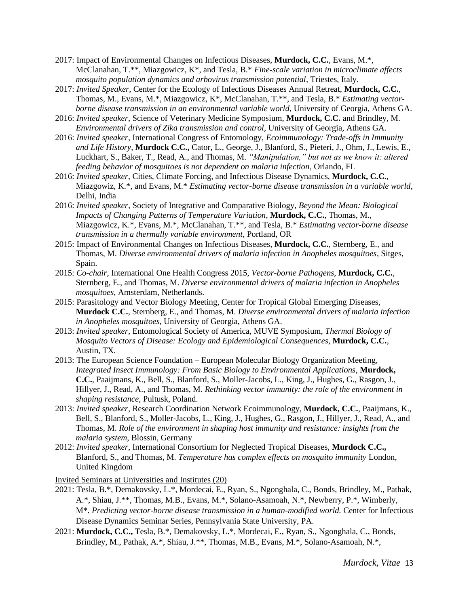- 2017: Impact of Environmental Changes on Infectious Diseases, **Murdock, C.C.**, Evans, M.\*, McClanahan, T.\*\*, Miazgowicz, K\*, and Tesla, B.\* *Fine-scale variation in microclimate affects mosquito population dynamics and arbovirus transmission potential*, Triestes, Italy.
- 2017: *Invited Speaker*, Center for the Ecology of Infectious Diseases Annual Retreat, **Murdock, C.C.**, Thomas, M., Evans, M.\*, Miazgowicz, K\*, McClanahan, T.\*\*, and Tesla, B.\* *Estimating vectorborne disease transmission in an environmental variable world*, University of Georgia, Athens GA.
- 2016: *Invited speaker*, Science of Veterinary Medicine Symposium, **Murdock, C.C.** and Brindley, M. *Environmental drivers of Zika transmission and control*, University of Georgia, Athens GA.
- 2016: *Invited speaker*, International Congress of Entomology, *Ecoimmunology: Trade-offs in Immunity and Life History*, **Murdock C.C.,** Cator, L., George, J., Blanford, S., Pieteri, J., Ohm, J., Lewis, E., Luckhart, S., Baker, T., Read, A., and Thomas, M. *"Manipulation," but not as we know it: altered feeding behavior of mosquitoes is not dependent on malaria infection*, Orlando, FL
- 2016: *Invited speaker*, Cities, Climate Forcing, and Infectious Disease Dynamics, **Murdock, C.C.**, Miazgowiz, K.\*, and Evans, M.\* *Estimating vector-borne disease transmission in a variable world*, Delhi, India
- 2016: *Invited speaker*, Society of Integrative and Comparative Biology, *Beyond the Mean: Biological Impacts of Changing Patterns of Temperature Variation*, **Murdock, C.C.**, Thomas, M., Miazgowicz, K.\*, Evans, M.\*, McClanahan, T.\*\*, and Tesla, B.\* *Estimating vector-borne disease transmission in a thermally variable environment*, Portland, OR
- 2015: Impact of Environmental Changes on Infectious Diseases, **Murdock, C.C.**, Sternberg, E., and Thomas, M. *Diverse environmental drivers of malaria infection in Anopheles mosquitoes*, Sitges, Spain.
- 2015: *Co-chair*, International One Health Congress 2015, *Vector-borne Pathogens,* **Murdock, C.C.**, Sternberg, E., and Thomas, M. *Diverse environmental drivers of malaria infection in Anopheles mosquitoes*, Amsterdam, Netherlands.
- 2015: Parasitology and Vector Biology Meeting, Center for Tropical Global Emerging Diseases, **Murdock C.C.**, Sternberg, E., and Thomas, M. *Diverse environmental drivers of malaria infection in Anopheles mosquitoes*, University of Georgia, Athens GA.
- 2013: *Invited speaker*, Entomological Society of America, MUVE Symposium, *Thermal Biology of Mosquito Vectors of Disease: Ecology and Epidemiological Consequences*, **Murdock, C.C.**, Austin, TX.
- 2013: The European Science Foundation European Molecular Biology Organization Meeting, *Integrated Insect Immunology: From Basic Biology to Environmental Applications*, **Murdock, C.C.**, Paaijmans, K., Bell, S., Blanford, S., Moller-Jacobs, L., King, J., Hughes, G., Rasgon, J., Hillyer, J., Read, A., and Thomas, M. *Rethinking vector immunity: the role of the environment in shaping resistance*, Pultusk, Poland.
- 2013: *Invited speaker*, Research Coordination Network Ecoimmunology, **Murdock, C.C.**, Paaijmans, K., Bell, S., Blanford, S., Moller-Jacobs, L., King, J., Hughes, G., Rasgon, J., Hillyer, J., Read, A., and Thomas, M. *Role of the environment in shaping host immunity and resistance: insights from the malaria system*, Blossin, Germany
- 2012: *Invited speaker*, International Consortium for Neglected Tropical Diseases, **Murdock C.C.,**  Blanford, S., and Thomas, M. *Temperature has complex effects on mosquito immunity* London, United Kingdom

Invited Seminars at Universities and Institutes (20)

- 2021: Tesla, B.\*, Demakovsky, L.\*, Mordecai, E., Ryan, S., Ngonghala, C., Bonds, Brindley, M., Pathak, A.\*, Shiau, J.\*\*, Thomas, M.B., Evans, M.\*, Solano-Asamoah, N.\*, Newberry, P.\*, Wimberly, M\*. *Predicting vector-borne disease transmission in a human-modified world.* Center for Infectious Disease Dynamics Seminar Series, Pennsylvania State University, PA.
- 2021: **Murdock, C.C.,** Tesla, B.\*, Demakovsky, L.\*, Mordecai, E., Ryan, S., Ngonghala, C., Bonds, Brindley, M., Pathak, A.\*, Shiau, J.\*\*, Thomas, M.B., Evans, M.\*, Solano-Asamoah, N.\*,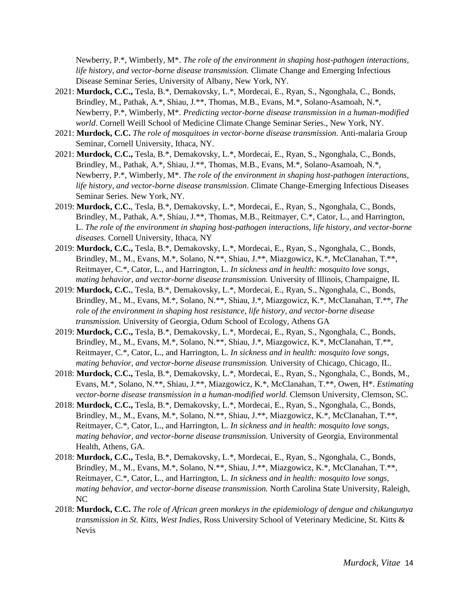Newberry, P.\*, Wimberly, M\*. *The role of the environment in shaping host-pathogen interactions, life history, and vector-borne disease transmission.* Climate Change and Emerging Infectious Disease Seminar Series, University of Albany, New York, NY.

- 2021: **Murdock, C.C.,** Tesla, B.\*, Demakovsky, L.\*, Mordecai, E., Ryan, S., Ngonghala, C., Bonds, Brindley, M., Pathak, A.\*, Shiau, J.\*\*, Thomas, M.B., Evans, M.\*, Solano-Asamoah, N.\*, Newberry, P.\*, Wimberly, M\*. *Predicting vector-borne disease transmission in a human-modified world*. Cornell Weill School of Medicine Climate Change Seminar Series., New York, NY.
- 2021: **Murdock, C.C.** *The role of mosquitoes in vector-borne disease transmission*. Anti-malaria Group Seminar, Cornell University, Ithaca, NY.
- 2021: **Murdock, C.C.,** Tesla, B.\*, Demakovsky, L.\*, Mordecai, E., Ryan, S., Ngonghala, C., Bonds, Brindley, M., Pathak, A.\*, Shiau, J.\*\*, Thomas, M.B., Evans, M.\*, Solano-Asamoah, N.\*, Newberry, P.\*, Wimberly, M\*. *The role of the environment in shaping host-pathogen interactions, life history, and vector-borne disease transmission*. Climate Change-Emerging Infectious Diseases Seminar Series. New York, NY.
- 2019: **Murdock, C.C.**, Tesla, B.\*, Demakovsky, L.\*, Mordecai, E., Ryan, S., Ngonghala, C., Bonds, Brindley, M., Pathak, A.\*, Shiau, J.\*\*, Thomas, M.B., Reitmayer, C.\*, Cator, L., and Harrington, L. *The role of the environment in shaping host-pathogen interactions, life history, and vector-borne diseases.* Cornell University, Ithaca, NY
- 2019: **Murdock, C.C.,** Tesla, B.\*, Demakovsky, L.\*, Mordecai, E., Ryan, S., Ngonghala, C., Bonds, Brindley, M., M., Evans, M.\*, Solano, N.\*\*, Shiau, J.\*\*, Miazgowicz, K.\*, McClanahan, T.\*\*, Reitmayer, C.\*, Cator, L., and Harrington, L. *In sickness and in health: mosquito love songs, mating behavior, and vector-borne disease transmission.* University of Illinois, Champaigne, IL
- 2019: **Murdock, C.C.**, Tesla, B.\*, Demakovsky, L.\*, Mordecai, E., Ryan, S., Ngonghala, C., Bonds, Brindley, M., M., Evans, M.\*, Solano, N.\*\*, Shiau, J.\*, Miazgowicz, K.\*, McClanahan, T.\*\*, *The role of the environment in shaping host resistance, life history, and vector-borne disease transmission.* University of Georgia, Odum School of Ecology, Athens GA
- 2019: **Murdock, C.C.,** Tesla, B.\*, Demakovsky, L.\*, Mordecai, E., Ryan, S., Ngonghala, C., Bonds, Brindley, M., M., Evans, M.\*, Solano, N.\*\*, Shiau, J.\*, Miazgowicz, K.\*, McClanahan, T.\*\*, Reitmayer, C.\*, Cator, L., and Harrington, L. *In sickness and in health: mosquito love songs, mating behavior, and vector-borne disease transmission.* University of Chicago, Chicago, IL.
- 2018: **Murdock, C.C.,** Tesla, B.\*, Demakovsky, L.\*, Mordecai, E., Ryan, S., Ngonghala, C., Bonds, M., Evans, M.\*, Solano, N.\*\*, Shiau, J.\*\*, Miazgowicz, K.\*, McClanahan, T.\*\*, Owen, H\*. *Estimating vector-borne disease transmission in a human-modified world.* Clemson University, Clemson, SC.
- 2018: **Murdock, C.C.,** Tesla, B.\*, Demakovsky, L.\*, Mordecai, E., Ryan, S., Ngonghala, C., Bonds, Brindley, M., M., Evans, M.\*, Solano, N.\*\*, Shiau, J.\*\*, Miazgowicz, K.\*, McClanahan, T.\*\*, Reitmayer, C.\*, Cator, L., and Harrington, L. *In sickness and in health: mosquito love songs, mating behavior, and vector-borne disease transmission.* University of Georgia, Environmental Health, Athens, GA.
- 2018: **Murdock, C.C.,** Tesla, B.\*, Demakovsky, L.\*, Mordecai, E., Ryan, S., Ngonghala, C., Bonds, Brindley, M., M., Evans, M.\*, Solano, N.\*\*, Shiau, J.\*\*, Miazgowicz, K.\*, McClanahan, T.\*\*, Reitmayer, C.\*, Cator, L., and Harrington, L. *In sickness and in health: mosquito love songs, mating behavior, and vector-borne disease transmission.* North Carolina State University, Raleigh, NC
- 2018: **Murdock, C.C.** *The role of African green monkeys in the epidemiology of dengue and chikungunya transmission in St. Kitts, West Indies,* Ross University School of Veterinary Medicine, St. Kitts & Nevis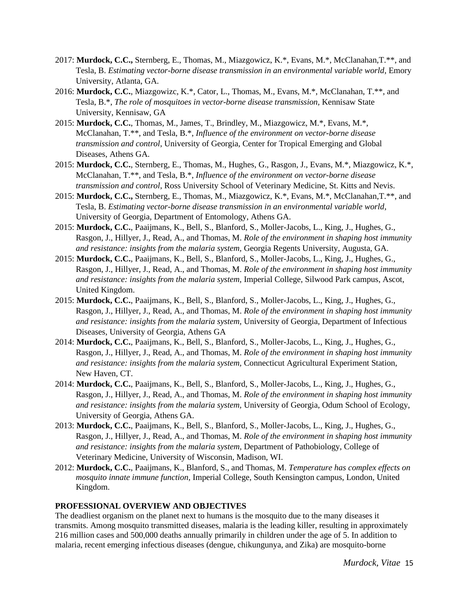- 2017: **Murdock, C.C.,** Sternberg, E., Thomas, M., Miazgowicz, K.\*, Evans, M.\*, McClanahan,T.\*\*, and Tesla, B. *Estimating vector-borne disease transmission in an environmental variable world*, Emory University, Atlanta, GA.
- 2016: **Murdock, C.C.**, Miazgowizc, K.\*, Cator, L., Thomas, M., Evans, M.\*, McClanahan, T.\*\*, and Tesla, B.\*, *The role of mosquitoes in vector-borne disease transmission,* Kennisaw State University, Kennisaw, GA
- 2015: **Murdock, C.C.**, Thomas, M., James, T., Brindley, M., Miazgowicz, M.\*, Evans, M.\*, McClanahan, T.\*\*, and Tesla, B.\*, *Influence of the environment on vector-borne disease transmission and control*, University of Georgia, Center for Tropical Emerging and Global Diseases, Athens GA.
- 2015: **Murdock, C.C.**, Sternberg, E., Thomas, M., Hughes, G., Rasgon, J., Evans, M.\*, Miazgowicz, K.\*, McClanahan, T.\*\*, and Tesla, B.\*, *Influence of the environment on vector-borne disease transmission and control*, Ross University School of Veterinary Medicine, St. Kitts and Nevis.
- 2015: **Murdock, C.C.,** Sternberg, E., Thomas, M., Miazgowicz, K.\*, Evans, M.\*, McClanahan,T.\*\*, and Tesla, B. *Estimating vector-borne disease transmission in an environmental variable world*, University of Georgia, Department of Entomology, Athens GA.
- 2015: **Murdock, C.C.**, Paaijmans, K., Bell, S., Blanford, S., Moller-Jacobs, L., King, J., Hughes, G., Rasgon, J., Hillyer, J., Read, A., and Thomas, M. *Role of the environment in shaping host immunity and resistance: insights from the malaria system, Georgia Regents University, Augusta, GA.*
- 2015: **Murdock, C.C.**, Paaijmans, K., Bell, S., Blanford, S., Moller-Jacobs, L., King, J., Hughes, G., Rasgon, J., Hillyer, J., Read, A., and Thomas, M. *Role of the environment in shaping host immunity and resistance: insights from the malaria system,* Imperial College, Silwood Park campus, Ascot, United Kingdom.
- 2015: **Murdock, C.C.**, Paaijmans, K., Bell, S., Blanford, S., Moller-Jacobs, L., King, J., Hughes, G., Rasgon, J., Hillyer, J., Read, A., and Thomas, M. *Role of the environment in shaping host immunity and resistance: insights from the malaria system,* University of Georgia, Department of Infectious Diseases, University of Georgia, Athens GA
- 2014: **Murdock, C.C.**, Paaijmans, K., Bell, S., Blanford, S., Moller-Jacobs, L., King, J., Hughes, G., Rasgon, J., Hillyer, J., Read, A., and Thomas, M. *Role of the environment in shaping host immunity and resistance: insights from the malaria system,* Connecticut Agricultural Experiment Station, New Haven, CT.
- 2014: **Murdock, C.C.**, Paaijmans, K., Bell, S., Blanford, S., Moller-Jacobs, L., King, J., Hughes, G., Rasgon, J., Hillyer, J., Read, A., and Thomas, M. *Role of the environment in shaping host immunity and resistance: insights from the malaria system,* University of Georgia, Odum School of Ecology, University of Georgia, Athens GA.
- 2013: **Murdock, C.C.**, Paaijmans, K., Bell, S., Blanford, S., Moller-Jacobs, L., King, J., Hughes, G., Rasgon, J., Hillyer, J., Read, A., and Thomas, M. *Role of the environment in shaping host immunity and resistance: insights from the malaria system,* Department of Pathobiology, College of Veterinary Medicine, University of Wisconsin, Madison, WI.
- 2012: **Murdock, C.C.**, Paaijmans, K., Blanford, S., and Thomas, M. *Temperature has complex effects on mosquito innate immune function,* Imperial College, South Kensington campus, London, United Kingdom.

#### **PROFESSIONAL OVERVIEW AND OBJECTIVES**

The deadliest organism on the planet next to humans is the mosquito due to the many diseases it transmits. Among mosquito transmitted diseases, malaria is the leading killer, resulting in approximately 216 million cases and 500,000 deaths annually primarily in children under the age of 5. In addition to malaria, recent emerging infectious diseases (dengue, chikungunya, and Zika) are mosquito-borne